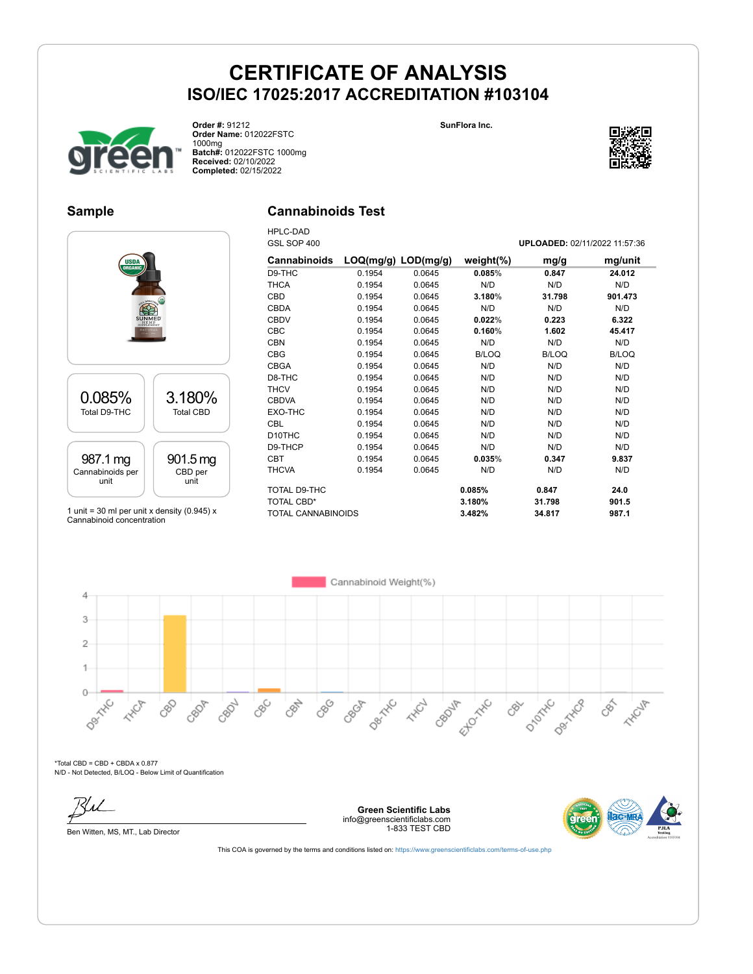

GSL SOP 400 **UPLOADED:** 02/11/2022 11:57:36



**Order #:** 91212 **Order Name:** 012022FSTC 1000mg **Batch#:** 012022FSTC 1000mg **Received:** 02/10/2022 **Completed:** 02/15/2022

### **Sample**

### **Cannabinoids Test**

HPLC-DAD<br>CSL SOD 400



1 unit = 30 ml per unit x density (0.945)  $x$ Cannabinoid concentration

| OOL OUF <del>4</del> 00   |                         |        |               | <b>UFLOADED.</b> 02/11/2022 11.97.90 |              |
|---------------------------|-------------------------|--------|---------------|--------------------------------------|--------------|
| <b>Cannabinoids</b>       | $LOQ(mg/g)$ $LOD(mg/g)$ |        | weight $(\%)$ | mg/g                                 | mg/unit      |
| D9-THC                    | 0.1954                  | 0.0645 | 0.085%        | 0.847                                | 24.012       |
| <b>THCA</b>               | 0.1954                  | 0.0645 | N/D           | N/D                                  | N/D          |
| <b>CBD</b>                | 0.1954                  | 0.0645 | 3.180%        | 31.798                               | 901.473      |
| <b>CBDA</b>               | 0.1954                  | 0.0645 | N/D           | N/D                                  | N/D          |
| <b>CBDV</b>               | 0.1954                  | 0.0645 | 0.022%        | 0.223                                | 6.322        |
| <b>CBC</b>                | 0.1954                  | 0.0645 | 0.160%        | 1.602                                | 45.417       |
| <b>CBN</b>                | 0.1954                  | 0.0645 | N/D           | N/D                                  | N/D          |
| <b>CBG</b>                | 0.1954                  | 0.0645 | <b>B/LOQ</b>  | <b>B/LOQ</b>                         | <b>B/LOQ</b> |
| <b>CBGA</b>               | 0.1954                  | 0.0645 | N/D           | N/D                                  | N/D          |
| D8-THC                    | 0.1954                  | 0.0645 | N/D           | N/D                                  | N/D          |
| <b>THCV</b>               | 0.1954                  | 0.0645 | N/D           | N/D                                  | N/D          |
| <b>CBDVA</b>              | 0.1954                  | 0.0645 | N/D           | N/D                                  | N/D          |
| EXO-THC                   | 0.1954                  | 0.0645 | N/D           | N/D                                  | N/D          |
| <b>CBL</b>                | 0.1954                  | 0.0645 | N/D           | N/D                                  | N/D          |
| D <sub>10</sub> THC       | 0.1954                  | 0.0645 | N/D           | N/D                                  | N/D          |
| D9-THCP                   | 0.1954                  | 0.0645 | N/D           | N/D                                  | N/D          |
| <b>CBT</b>                | 0.1954                  | 0.0645 | 0.035%        | 0.347                                | 9.837        |
| <b>THCVA</b>              | 0.1954                  | 0.0645 | N/D           | N/D                                  | N/D          |
| TOTAL D9-THC              |                         |        | 0.085%        | 0.847                                | 24.0         |
| <b>TOTAL CBD*</b>         |                         |        | 3.180%        | 31.798                               | 901.5        |
| <b>TOTAL CANNABINOIDS</b> |                         |        | 3.482%        | 34.817                               | 987.1        |

Ellowitc

CBOUT

D-10THC

CRY

Derivative

**Desimination HAVE** CBOR CBON \*Total CBD = CBD + CBDA x 0.877

880

CBC

CBN

CBG

CBGA

N/D - Not Detected, B/LOQ - Below Limit of Quantification

Ben Witten, MS, MT., Lab Director

 $\overline{4}$ 3  $\overline{2}$ 1

 $\circ$ 

**Green Scientific Labs** info@greenscientificlabs.com 1-833 TEST CBD



**HYGUP** 

This COA is governed by the terms and conditions listed on: <https://www.greenscientificlabs.com/terms-of-use.php>

De Hitle

**ANCL** 

Cannabinoid Weight(%)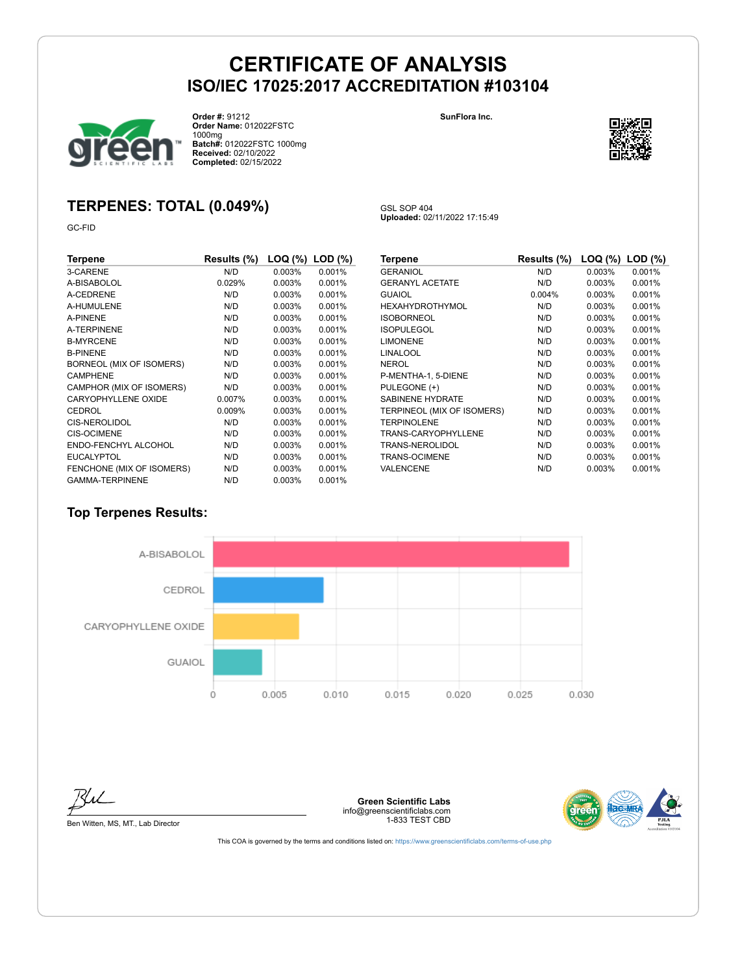GSL SOP 404

**Uploaded:** 02/11/2022 17:15:49



**Order #:** 91212 **Order Name:** 012022FSTC 1000mg **Batch#:** 012022FSTC 1000mg **Received:** 02/10/2022 **Completed:** 02/15/2022

#### **SunFlora Inc.**



## **TERPENES: TOTAL (0.049%)**

GC-FID

| Terpene                    | Results (%) | LOQ (%)   | $LOD$ $(\%)$ |
|----------------------------|-------------|-----------|--------------|
| 3-CARENE                   | N/D         | 0.003%    | 0.001%       |
| A-BISABOLOL                | 0.029%      | 0.003%    | 0.001%       |
| A-CEDRENE                  | N/D         | 0.003%    | 0.001%       |
| A-HUMULENE                 | N/D         | 0.003%    | 0.001%       |
| A-PINENE                   | N/D         | 0.003%    | 0.001%       |
| A-TERPINENE                | N/D         | 0.003%    | 0.001%       |
| <b>B-MYRCENE</b>           | N/D         | $0.003\%$ | 0.001%       |
| <b>B-PINENE</b>            | N/D         | 0.003%    | 0.001%       |
| BORNEOL (MIX OF ISOMERS)   | N/D         | 0.003%    | 0.001%       |
| <b>CAMPHENE</b>            | N/D         | $0.003\%$ | 0.001%       |
| CAMPHOR (MIX OF ISOMERS)   | N/D         | $0.003\%$ | 0.001%       |
| <b>CARYOPHYLLENE OXIDE</b> | 0.007%      | $0.003\%$ | 0.001%       |
| CEDROL                     | 0.009%      | $0.003\%$ | 0.001%       |
| <b>CIS-NEROLIDOL</b>       | N/D         | $0.003\%$ | 0.001%       |
| <b>CIS-OCIMENE</b>         | N/D         | 0.003%    | 0.001%       |
| ENDO-FENCHYL ALCOHOL       | N/D         | 0.003%    | 0.001%       |
| <b>EUCALYPTOL</b>          | N/D         | 0.003%    | 0.001%       |
| FENCHONE (MIX OF ISOMERS)  | N/D         | 0.003%    | 0.001%       |
| <b>GAMMA-TERPINENE</b>     | N/D         | 0.003%    | 0.001%       |

| Terpene                    | Results (%) | LOQ (%) | $LOD$ $(\%)$ |
|----------------------------|-------------|---------|--------------|
| <b>GERANIOL</b>            | N/D         | 0.003%  | 0.001%       |
| <b>GERANYL ACETATE</b>     | N/D         | 0.003%  | 0.001%       |
| GUAIOL                     | 0.004%      | 0.003%  | 0.001%       |
| HEXAHYDROTHYMOL            | N/D         | 0.003%  | 0.001%       |
| <b>ISOBORNEOL</b>          | N/D         | 0.003%  | 0.001%       |
| <b>ISOPULEGOL</b>          | N/D         | 0.003%  | 0.001%       |
| <b>LIMONENE</b>            | N/D         | 0.003%  | 0.001%       |
| LINALOOL                   | N/D         | 0.003%  | 0.001%       |
| NEROL                      | N/D         | 0.003%  | 0.001%       |
| P-MENTHA-1, 5-DIENE        | N/D         | 0.003%  | 0.001%       |
| PULEGONE (+)               | N/D         | 0.003%  | 0.001%       |
| <b>SABINENE HYDRATE</b>    | N/D         | 0.003%  | 0.001%       |
| TERPINEOL (MIX OF ISOMERS) | N/D         | 0.003%  | 0.001%       |
| <b>TERPINOLENE</b>         | N/D         | 0.003%  | 0.001%       |
| TRANS-CARYOPHYLLENE        | N/D         | 0.003%  | 0.001%       |
| TRANS-NEROLIDOL            | N/D         | 0.003%  | 0.001%       |
| TRANS-OCIMENE              | N/D         | 0.003%  | 0.001%       |
| VALENCENE                  | N/D         | 0.003%  | 0.001%       |

## **Top Terpenes Results:**



Ku

Ben Witten, MS, MT., Lab Director

**Green Scientific Labs** info@greenscientificlabs.com 1-833 TEST CBD

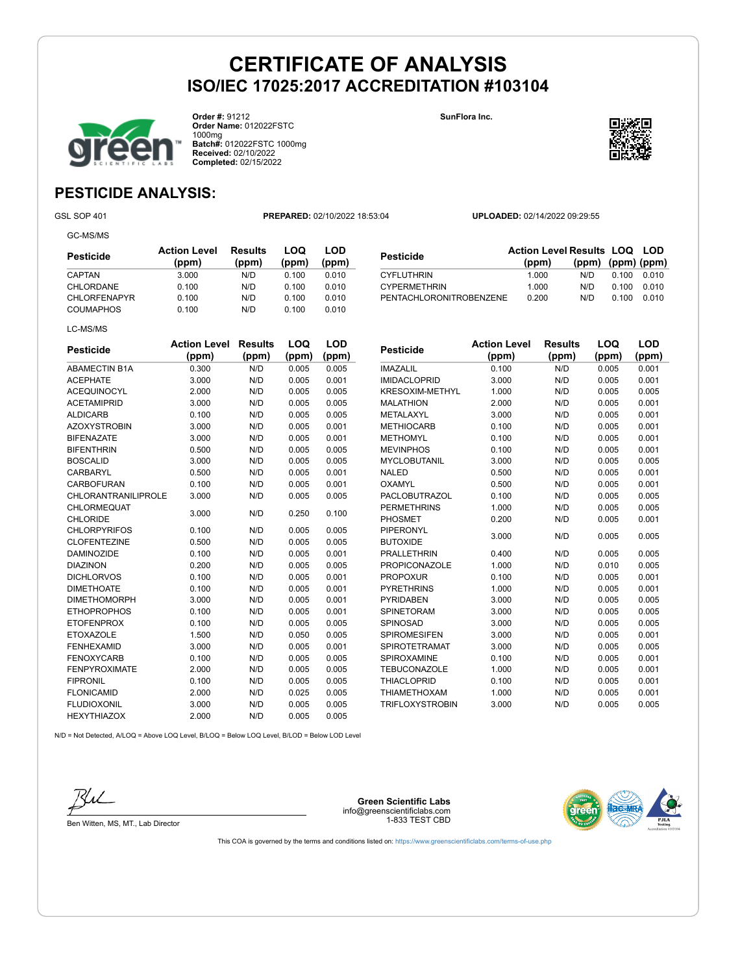**CYPERMETHRIN** 



**Order #:** 91212 **Order Name:** 012022FSTC 1000mg **Batch#:** 012022FSTC 1000mg **Received:** 02/10/2022 **Completed:** 02/15/2022

**SunFlora Inc.**



**(ppm) (ppm) (ppm)**

## **PESTICIDE ANALYSIS:**

GC-MS/MS

GSL SOP 401 **PREPARED:** 02/10/2022 18:53:04 **UPLOADED:** 02/14/2022 09:29:55

**Pesticide Action Level Results LOQ LOD (ppm)**

THE CYFLUTHRIN 1.000 N/D 0.100 0.010<br>
CYPERMETHRIN 1.000 N/D 0.100 0.010

PENTACHLORONITROBENZENE 0.200 N/D 0.100 0.010

| Pesticide           | <b>Action Level</b><br>(ppm) | Results<br>(ppm) | LOQ<br>(ppm) | LOD<br>(ppm) |
|---------------------|------------------------------|------------------|--------------|--------------|
| CAPTAN              | 3.000                        | N/D              | 0.100        | 0.010        |
| CHLORDANE           | 0.100                        | N/D              | 0.100        | 0.010        |
| <b>CHLORFENAPYR</b> | 0.100                        | N/D              | 0.100        | 0.010        |
| <b>COUMAPHOS</b>    | 0.100                        | N/D              | 0.100        | 0.010        |
| LC-MS/MS            |                              |                  |              |              |

| <b>Pesticide</b>                      | <b>Action Level</b><br>(ppm) | <b>Results</b><br>(ppm) | LOQ<br>(ppm) | <b>LOD</b><br>(ppm) |
|---------------------------------------|------------------------------|-------------------------|--------------|---------------------|
| <b>ABAMECTIN B1A</b>                  | 0.300                        | N/D                     | 0.005        | 0.005               |
| <b>ACEPHATE</b>                       | 3.000                        | N/D                     | 0.005        | 0.001               |
| <b>ACEQUINOCYL</b>                    | 2.000                        | N/D                     | 0.005        | 0.005               |
| <b>ACETAMIPRID</b>                    | 3.000                        | N/D                     | 0.005        | 0.005               |
| <b>ALDICARB</b>                       | 0.100                        | N/D                     | 0.005        | 0.005               |
| <b>AZOXYSTROBIN</b>                   | 3.000                        | N/D                     | 0.005        | 0.001               |
| <b>BIFENAZATE</b>                     | 3.000                        | N/D                     | 0.005        | 0.001               |
| <b>BIFENTHRIN</b>                     | 0.500                        | N/D                     | 0.005        | 0.005               |
| <b>BOSCALID</b>                       | 3.000                        | N/D                     | 0.005        | 0.005               |
| <b>CARBARYL</b>                       | 0.500                        | N/D                     | 0.005        | 0.001               |
| <b>CARBOFURAN</b>                     | 0.100                        | N/D                     | 0.005        | 0.001               |
| <b>CHLORANTRANILIPROLE</b>            | 3.000                        | N/D                     | 0.005        | 0.005               |
| <b>CHLORMEQUAT</b><br><b>CHLORIDE</b> | 3.000                        | N/D                     | 0.250        | 0.100               |
| <b>CHLORPYRIFOS</b>                   | 0.100                        | N/D                     | 0.005        | 0.005               |
| <b>CLOFENTEZINE</b>                   | 0.500                        | N/D                     | 0.005        | 0.005               |
| <b>DAMINOZIDE</b>                     | 0.100                        | N/D                     | 0.005        | 0.001               |
| <b>DIAZINON</b>                       | 0.200                        | N/D                     | 0.005        | 0.005               |
| <b>DICHLORVOS</b>                     | 0.100                        | N/D                     | 0.005        | 0.001               |
| <b>DIMETHOATE</b>                     | 0.100                        | N/D                     | 0.005        | 0.001               |
| <b>DIMETHOMORPH</b>                   | 3.000                        | N/D                     | 0.005        | 0.001               |
| <b>ETHOPROPHOS</b>                    | 0.100                        | N/D                     | 0.005        | 0.001               |
| <b>ETOFENPROX</b>                     | 0.100                        | N/D                     | 0.005        | 0.005               |
| <b>ETOXAZOLE</b>                      | 1.500                        | N/D                     | 0.050        | 0.005               |
| <b>FENHEXAMID</b>                     | 3.000                        | N/D                     | 0.005        | 0.001               |
| <b>FENOXYCARB</b>                     | 0.100                        | N/D                     | 0.005        | 0.005               |
| <b>FENPYROXIMATE</b>                  | 2.000                        | N/D                     | 0.005        | 0.005               |
| <b>FIPRONIL</b>                       | 0.100                        | N/D                     | 0.005        | 0.005               |
| <b>FLONICAMID</b>                     | 2.000                        | N/D                     | 0.025        | 0.005               |
| <b>FLUDIOXONIL</b>                    | 3.000                        | N/D                     | 0.005        | 0.005               |
| <b>HEXYTHIAZOX</b>                    | 2.000                        | N/D                     | 0.005        | 0.005               |

| <b>Pesticide</b>       | <b>Action Level</b> | <b>Results</b> | LOQ   | LOD   |
|------------------------|---------------------|----------------|-------|-------|
|                        | (ppm)               | (ppm)          | (ppm) | (ppm) |
| <b>IMAZALIL</b>        | 0.100               | N/D            | 0.005 | 0.001 |
| <b>IMIDACLOPRID</b>    | 3.000               | N/D            | 0.005 | 0.001 |
| <b>KRESOXIM-METHYL</b> | 1.000               | N/D            | 0.005 | 0.005 |
| <b>MALATHION</b>       | 2.000               | N/D            | 0.005 | 0.001 |
| METALAXYL              | 3.000               | N/D            | 0.005 | 0.001 |
| <b>METHIOCARB</b>      | 0.100               | N/D            | 0.005 | 0.001 |
| <b>METHOMYL</b>        | 0.100               | N/D            | 0.005 | 0.001 |
| <b>MEVINPHOS</b>       | 0.100               | N/D            | 0.005 | 0.001 |
| <b>MYCLOBUTANIL</b>    | 3.000               | N/D            | 0.005 | 0.005 |
| <b>NALED</b>           | 0.500               | N/D            | 0.005 | 0.001 |
| OXAMYL                 | 0.500               | N/D            | 0.005 | 0.001 |
| PACLOBUTRAZOL          | 0.100               | N/D            | 0.005 | 0.005 |
| <b>PERMETHRINS</b>     | 1.000               | N/D            | 0.005 | 0.005 |
| <b>PHOSMET</b>         | 0.200               | N/D            | 0.005 | 0.001 |
| <b>PIPERONYL</b>       |                     |                |       |       |
| <b>BUTOXIDE</b>        | 3.000               | N/D            | 0.005 | 0.005 |
| <b>PRALLETHRIN</b>     | 0.400               | N/D            | 0.005 | 0.005 |
| <b>PROPICONAZOLE</b>   | 1.000               | N/D            | 0.010 | 0.005 |
| <b>PROPOXUR</b>        | 0.100               | N/D            | 0.005 | 0.001 |
| <b>PYRETHRINS</b>      | 1.000               | N/D            | 0.005 | 0.001 |
| <b>PYRIDABEN</b>       | 3.000               | N/D            | 0.005 | 0.005 |
| <b>SPINETORAM</b>      | 3.000               | N/D            | 0.005 | 0.005 |
| SPINOSAD               | 3.000               | N/D            | 0.005 | 0.005 |
| <b>SPIROMESIFEN</b>    | 3.000               | N/D            | 0.005 | 0.001 |
| <b>SPIROTETRAMAT</b>   | 3.000               | N/D            | 0.005 | 0.005 |
| SPIROXAMINE            | 0.100               | N/D            | 0.005 | 0.001 |
| <b>TEBUCONAZOLE</b>    | 1.000               | N/D            | 0.005 | 0.001 |
| <b>THIACLOPRID</b>     | 0.100               | N/D            | 0.005 | 0.001 |
| <b>THIAMETHOXAM</b>    | 1.000               | N/D            | 0.005 | 0.001 |
| TRIFLOXYSTROBIN        | 3.000               | N/D            | 0.005 | 0.005 |

N/D = Not Detected, A/LOQ = Above LOQ Level, B/LOQ = Below LOQ Level, B/LOD = Below LOD Level



Ben Witten, MS, MT., Lab Director

**Green Scientific Labs** info@greenscientificlabs.com 1-833 TEST CBD

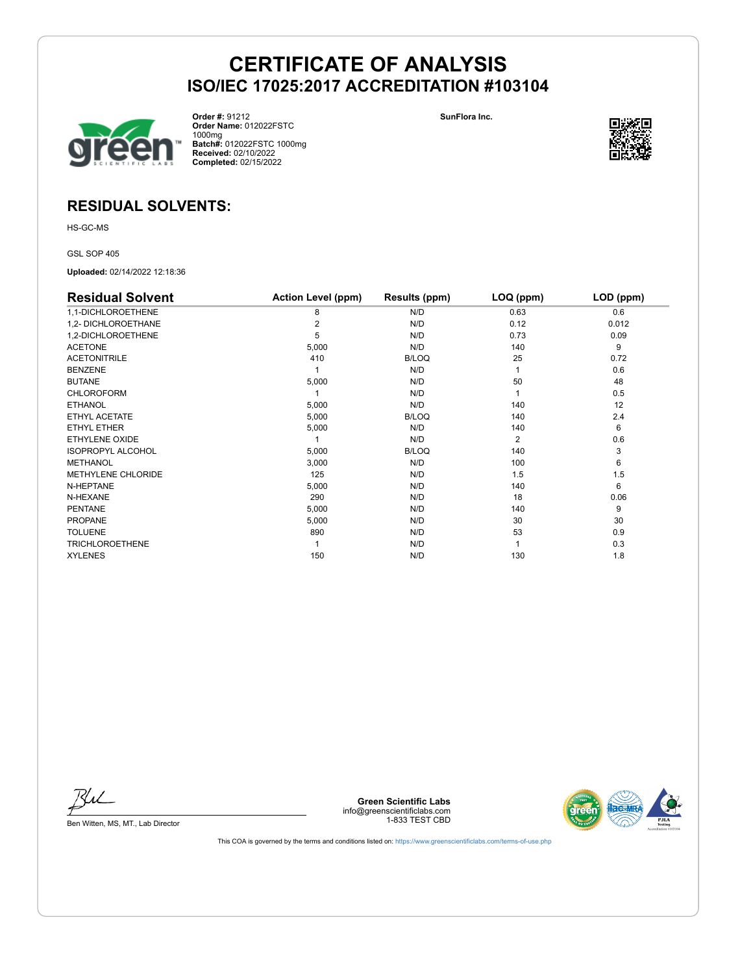

**Order #:** 91212 **Order Name:** 012022FSTC 1000mg **Batch#:** 012022FSTC 1000mg **Received:** 02/10/2022 **Completed:** 02/15/2022 **SunFlora Inc.**



## **RESIDUAL SOLVENTS:**

HS-GC-MS

GSL SOP 405

**Uploaded:** 02/14/2022 12:18:36

| <b>Residual Solvent</b>   | <b>Action Level (ppm)</b> | Results (ppm) | LOQ (ppm)      | LOD (ppm) |
|---------------------------|---------------------------|---------------|----------------|-----------|
| 1,1-DICHLOROETHENE        | 8                         | N/D           | 0.63           | 0.6       |
| 1,2- DICHLOROETHANE       | 2                         | N/D           | 0.12           | 0.012     |
| 1,2-DICHLOROETHENE        | 5                         | N/D           | 0.73           | 0.09      |
| <b>ACETONE</b>            | 5,000                     | N/D           | 140            | 9         |
| <b>ACETONITRILE</b>       | 410                       | <b>B/LOQ</b>  | 25             | 0.72      |
| <b>BENZENE</b>            |                           | N/D           |                | 0.6       |
| <b>BUTANE</b>             | 5,000                     | N/D           | 50             | 48        |
| <b>CHLOROFORM</b>         |                           | N/D           |                | 0.5       |
| <b>ETHANOL</b>            | 5,000                     | N/D           | 140            | 12        |
| ETHYL ACETATE             | 5,000                     | <b>B/LOQ</b>  | 140            | 2.4       |
| <b>ETHYL ETHER</b>        | 5,000                     | N/D           | 140            | 6         |
| ETHYLENE OXIDE            |                           | N/D           | $\overline{2}$ | 0.6       |
| <b>ISOPROPYL ALCOHOL</b>  | 5,000                     | <b>B/LOQ</b>  | 140            | 3         |
| <b>METHANOL</b>           | 3,000                     | N/D           | 100            | 6         |
| <b>METHYLENE CHLORIDE</b> | 125                       | N/D           | 1.5            | 1.5       |
| N-HEPTANE                 | 5,000                     | N/D           | 140            | 6         |
| N-HEXANE                  | 290                       | N/D           | 18             | 0.06      |
| <b>PENTANE</b>            | 5,000                     | N/D           | 140            | 9         |
| <b>PROPANE</b>            | 5,000                     | N/D           | 30             | 30        |
| <b>TOLUENE</b>            | 890                       | N/D           | 53             | 0.9       |
| <b>TRICHLOROETHENE</b>    |                           | N/D           |                | 0.3       |
| <b>XYLENES</b>            | 150                       | N/D           | 130            | 1.8       |

Bu

Ben Witten, MS, MT., Lab Director

**Green Scientific Labs** info@greenscientificlabs.com 1-833 TEST CBD

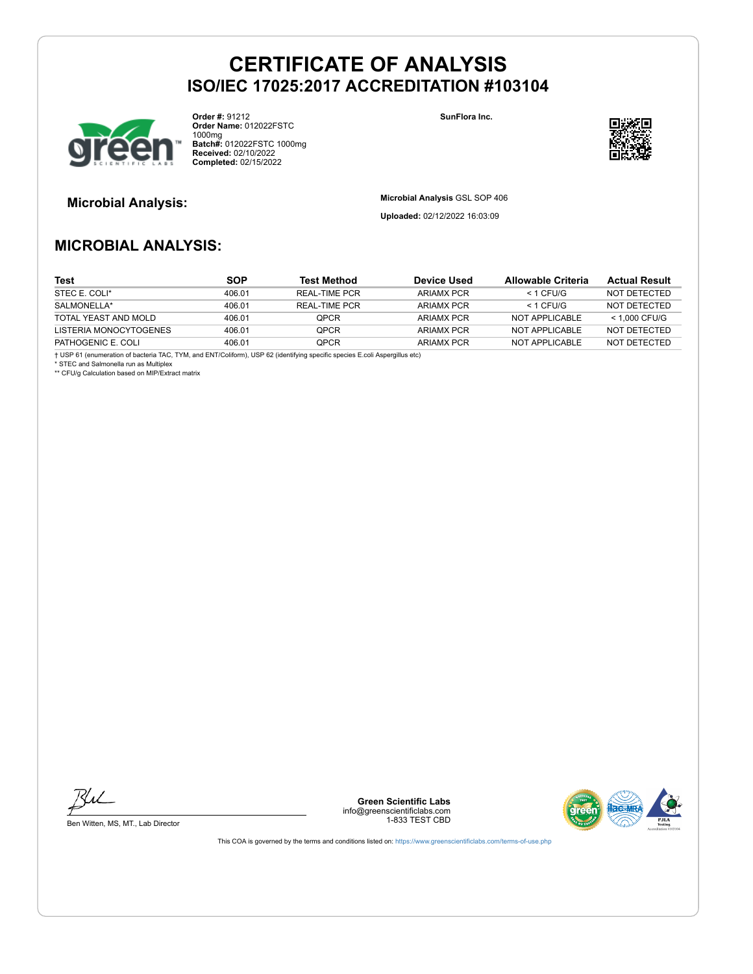

**Order #:** 91212 **Order Name:** 012022FSTC 1000mg **Batch#:** 012022FSTC 1000mg **Received:** 02/10/2022 **Completed:** 02/15/2022

**SunFlora Inc.**



**Microbial Analysis: Microbial Analysis** GSL SOP 406

**Uploaded:** 02/12/2022 16:03:09

## **MICROBIAL ANALYSIS:**

| Test                   | <b>SOP</b> | <b>Test Method</b>   | Device Used       | Allowable Criteria | <b>Actual Result</b> |
|------------------------|------------|----------------------|-------------------|--------------------|----------------------|
| STEC E. COLI*          | 406.01     | <b>REAL-TIME PCR</b> | ARIAMX PCR        | $<$ 1 CFU/G        | NOT DETECTED         |
| SALMONELLA*            | 406.01     | REAL-TIME PCR        | <b>ARIAMX PCR</b> | $<$ 1 CFU/G        | NOT DETECTED         |
| TOTAL YEAST AND MOLD   | 406.01     | <b>OPCR</b>          | <b>ARIAMX PCR</b> | NOT APPLICABLE     | < 1.000 CFU/G        |
| LISTERIA MONOCYTOGENES | 406.01     | <b>OPCR</b>          | ARIAMX PCR        | NOT APPLICABLE     | NOT DETECTED         |
| PATHOGENIC E. COLI     | 406.01     | <b>OPCR</b>          | ARIAMX PCR        | NOT APPLICABLE     | NOT DETECTED         |

† USP 61 (enumeration of bacteria TAC, TYM, and ENT/Coliform), USP 62 (identifying specific species E.coli Aspergillus etc) \* STEC and Salmonella run as Multiplex

\*\* CFU/g Calculation based on MIP/Extract matrix



Ben Witten, MS, MT., Lab Director

**Green Scientific Labs** info@greenscientificlabs.com 1-833 TEST CBD